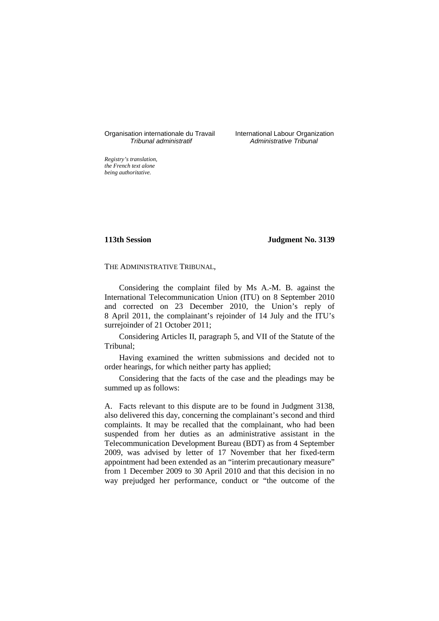Organisation internationale du Travail International Labour Organization<br>*Tribunal administratif Administrative Tribunal* 

Administrative Tribunal

*Registry's translation, the French text alone being authoritative.*

**113th Session Judgment No. 3139**

THE ADMINISTRATIVE TRIBUNAL,

Considering the complaint filed by Ms A.-M. B. against the International Telecommunication Union (ITU) on 8 September 2010 and corrected on 23 December 2010, the Union's reply of 8 April 2011, the complainant's rejoinder of 14 July and the ITU's surrejoinder of 21 October 2011;

Considering Articles II, paragraph 5, and VII of the Statute of the Tribunal;

Having examined the written submissions and decided not to order hearings, for which neither party has applied;

Considering that the facts of the case and the pleadings may be summed up as follows:

A. Facts relevant to this dispute are to be found in Judgment 3138, also delivered this day, concerning the complainant's second and third complaints. It may be recalled that the complainant, who had been suspended from her duties as an administrative assistant in the Telecommunication Development Bureau (BDT) as from 4 September 2009, was advised by letter of 17 November that her fixed-term appointment had been extended as an "interim precautionary measure" from 1 December 2009 to 30 April 2010 and that this decision in no way prejudged her performance, conduct or "the outcome of the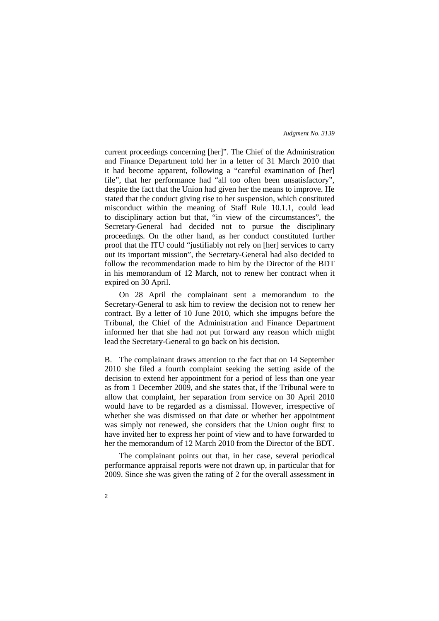current proceedings concerning [her]". The Chief of the Administration and Finance Department told her in a letter of 31 March 2010 that it had become apparent, following a "careful examination of [her] file", that her performance had "all too often been unsatisfactory", despite the fact that the Union had given her the means to improve. He stated that the conduct giving rise to her suspension, which constituted misconduct within the meaning of Staff Rule 10.1.1, could lead to disciplinary action but that, "in view of the circumstances", the Secretary-General had decided not to pursue the disciplinary proceedings. On the other hand, as her conduct constituted further proof that the ITU could "justifiably not rely on [her] services to carry out its important mission", the Secretary-General had also decided to follow the recommendation made to him by the Director of the BDT in his memorandum of 12 March, not to renew her contract when it expired on 30 April.

On 28 April the complainant sent a memorandum to the Secretary-General to ask him to review the decision not to renew her contract. By a letter of 10 June 2010, which she impugns before the Tribunal, the Chief of the Administration and Finance Department informed her that she had not put forward any reason which might lead the Secretary-General to go back on his decision.

B. The complainant draws attention to the fact that on 14 September 2010 she filed a fourth complaint seeking the setting aside of the decision to extend her appointment for a period of less than one year as from 1 December 2009, and she states that, if the Tribunal were to allow that complaint, her separation from service on 30 April 2010 would have to be regarded as a dismissal. However, irrespective of whether she was dismissed on that date or whether her appointment was simply not renewed, she considers that the Union ought first to have invited her to express her point of view and to have forwarded to her the memorandum of 12 March 2010 from the Director of the BDT.

The complainant points out that, in her case, several periodical performance appraisal reports were not drawn up, in particular that for 2009. Since she was given the rating of 2 for the overall assessment in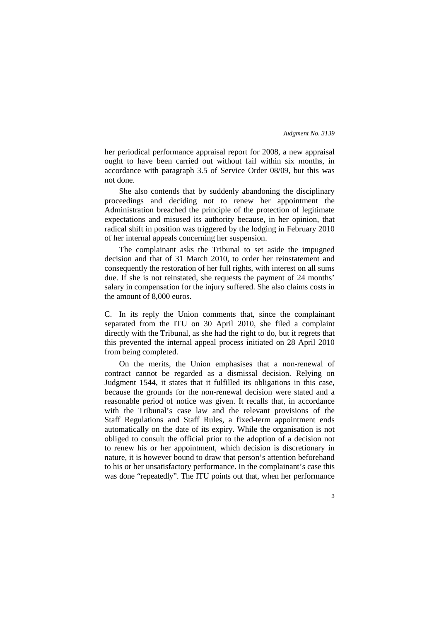her periodical performance appraisal report for 2008, a new appraisal ought to have been carried out without fail within six months, in accordance with paragraph 3.5 of Service Order 08/09, but this was not done.

She also contends that by suddenly abandoning the disciplinary proceedings and deciding not to renew her appointment the Administration breached the principle of the protection of legitimate expectations and misused its authority because, in her opinion, that radical shift in position was triggered by the lodging in February 2010 of her internal appeals concerning her suspension.

The complainant asks the Tribunal to set aside the impugned decision and that of 31 March 2010, to order her reinstatement and consequently the restoration of her full rights, with interest on all sums due. If she is not reinstated, she requests the payment of 24 months' salary in compensation for the injury suffered. She also claims costs in the amount of 8,000 euros.

C. In its reply the Union comments that, since the complainant separated from the ITU on 30 April 2010, she filed a complaint directly with the Tribunal, as she had the right to do, but it regrets that this prevented the internal appeal process initiated on 28 April 2010 from being completed.

On the merits, the Union emphasises that a non-renewal of contract cannot be regarded as a dismissal decision. Relying on Judgment 1544, it states that it fulfilled its obligations in this case, because the grounds for the non-renewal decision were stated and a reasonable period of notice was given. It recalls that, in accordance with the Tribunal's case law and the relevant provisions of the Staff Regulations and Staff Rules, a fixed-term appointment ends automatically on the date of its expiry. While the organisation is not obliged to consult the official prior to the adoption of a decision not to renew his or her appointment, which decision is discretionary in nature, it is however bound to draw that person's attention beforehand to his or her unsatisfactory performance. In the complainant's case this was done "repeatedly". The ITU points out that, when her performance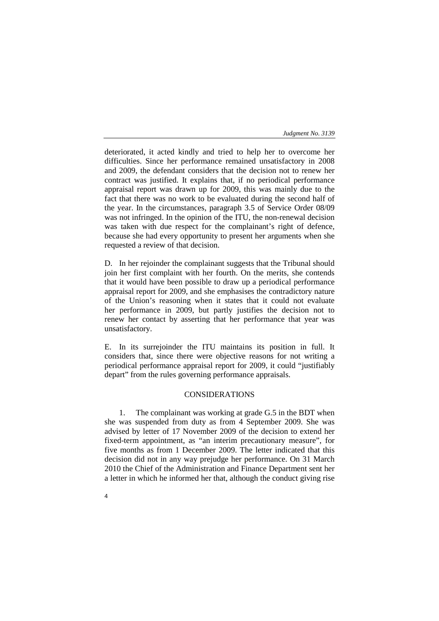deteriorated, it acted kindly and tried to help her to overcome her difficulties. Since her performance remained unsatisfactory in 2008 and 2009, the defendant considers that the decision not to renew her contract was justified. It explains that, if no periodical performance appraisal report was drawn up for 2009, this was mainly due to the fact that there was no work to be evaluated during the second half of the year. In the circumstances, paragraph 3.5 of Service Order 08/09 was not infringed. In the opinion of the ITU, the non-renewal decision was taken with due respect for the complainant's right of defence, because she had every opportunity to present her arguments when she requested a review of that decision.

D. In her rejoinder the complainant suggests that the Tribunal should join her first complaint with her fourth. On the merits, she contends that it would have been possible to draw up a periodical performance appraisal report for 2009, and she emphasises the contradictory nature of the Union's reasoning when it states that it could not evaluate her performance in 2009, but partly justifies the decision not to renew her contact by asserting that her performance that year was unsatisfactory.

E. In its surrejoinder the ITU maintains its position in full. It considers that, since there were objective reasons for not writing a periodical performance appraisal report for 2009, it could "justifiably depart" from the rules governing performance appraisals.

# CONSIDERATIONS

1. The complainant was working at grade G.5 in the BDT when she was suspended from duty as from 4 September 2009. She was advised by letter of 17 November 2009 of the decision to extend her fixed-term appointment, as "an interim precautionary measure", for five months as from 1 December 2009. The letter indicated that this decision did not in any way prejudge her performance. On 31 March 2010 the Chief of the Administration and Finance Department sent her a letter in which he informed her that, although the conduct giving rise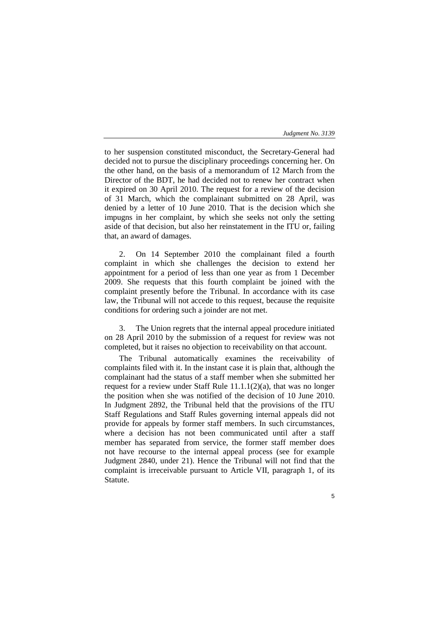5

to her suspension constituted misconduct, the Secretary-General had decided not to pursue the disciplinary proceedings concerning her. On the other hand, on the basis of a memorandum of 12 March from the Director of the BDT, he had decided not to renew her contract when it expired on 30 April 2010. The request for a review of the decision of 31 March, which the complainant submitted on 28 April, was denied by a letter of 10 June 2010. That is the decision which she impugns in her complaint, by which she seeks not only the setting aside of that decision, but also her reinstatement in the ITU or, failing that, an award of damages.

2. On 14 September 2010 the complainant filed a fourth complaint in which she challenges the decision to extend her appointment for a period of less than one year as from 1 December 2009. She requests that this fourth complaint be joined with the complaint presently before the Tribunal. In accordance with its case law, the Tribunal will not accede to this request, because the requisite conditions for ordering such a joinder are not met.

3. The Union regrets that the internal appeal procedure initiated on 28 April 2010 by the submission of a request for review was not completed, but it raises no objection to receivability on that account.

The Tribunal automatically examines the receivability of complaints filed with it. In the instant case it is plain that, although the complainant had the status of a staff member when she submitted her request for a review under Staff Rule 11.1.1(2)(a), that was no longer the position when she was notified of the decision of 10 June 2010. In Judgment 2892, the Tribunal held that the provisions of the ITU Staff Regulations and Staff Rules governing internal appeals did not provide for appeals by former staff members. In such circumstances, where a decision has not been communicated until after a staff member has separated from service, the former staff member does not have recourse to the internal appeal process (see for example Judgment 2840, under 21). Hence the Tribunal will not find that the complaint is irreceivable pursuant to Article VII, paragraph 1, of its Statute.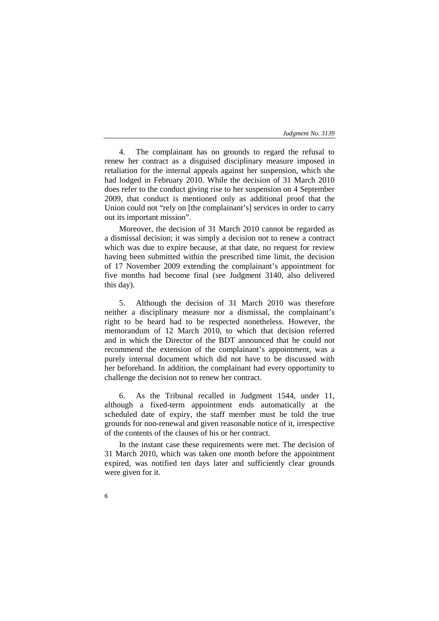4. The complainant has no grounds to regard the refusal to renew her contract as a disguised disciplinary measure imposed in retaliation for the internal appeals against her suspension, which she had lodged in February 2010. While the decision of 31 March 2010 does refer to the conduct giving rise to her suspension on 4 September 2009, that conduct is mentioned only as additional proof that the Union could not "rely on [the complainant's] services in order to carry out its important mission".

Moreover, the decision of 31 March 2010 cannot be regarded as a dismissal decision; it was simply a decision not to renew a contract which was due to expire because, at that date, no request for review having been submitted within the prescribed time limit, the decision of 17 November 2009 extending the complainant's appointment for five months had become final (see Judgment 3140, also delivered this day).

5. Although the decision of 31 March 2010 was therefore neither a disciplinary measure nor a dismissal, the complainant's right to be heard had to be respected nonetheless. However, the memorandum of 12 March 2010, to which that decision referred and in which the Director of the BDT announced that he could not recommend the extension of the complainant's appointment, was a purely internal document which did not have to be discussed with her beforehand. In addition, the complainant had every opportunity to challenge the decision not to renew her contract.

6. As the Tribunal recalled in Judgment 1544, under 11, although a fixed-term appointment ends automatically at the scheduled date of expiry, the staff member must be told the true grounds for non-renewal and given reasonable notice of it, irrespective of the contents of the clauses of his or her contract.

In the instant case these requirements were met. The decision of 31 March 2010, which was taken one month before the appointment expired, was notified ten days later and sufficiently clear grounds were given for it.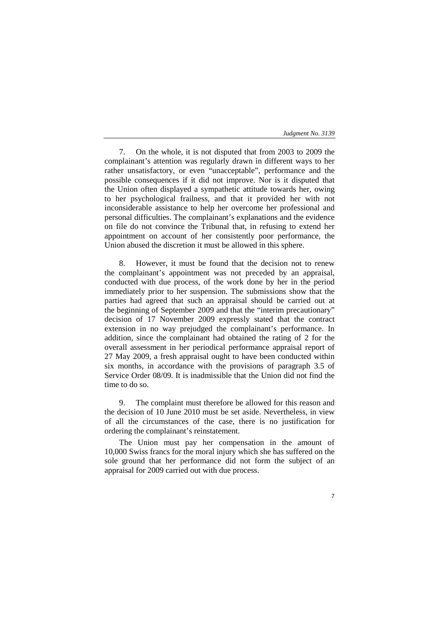7. On the whole, it is not disputed that from 2003 to 2009 the complainant's attention was regularly drawn in different ways to her rather unsatisfactory, or even "unacceptable", performance and the possible consequences if it did not improve. Nor is it disputed that the Union often displayed a sympathetic attitude towards her, owing to her psychological frailness, and that it provided her with not inconsiderable assistance to help her overcome her professional and personal difficulties. The complainant's explanations and the evidence on file do not convince the Tribunal that, in refusing to extend her appointment on account of her consistently poor performance, the Union abused the discretion it must be allowed in this sphere.

However, it must be found that the decision not to renew the complainant's appointment was not preceded by an appraisal, conducted with due process, of the work done by her in the period immediately prior to her suspension. The submissions show that the parties had agreed that such an appraisal should be carried out at the beginning of September 2009 and that the "interim precautionary" decision of 17 November 2009 expressly stated that the contract extension in no way prejudged the complainant's performance. In addition, since the complainant had obtained the rating of 2 for the overall assessment in her periodical performance appraisal report of 27 May 2009, a fresh appraisal ought to have been conducted within six months, in accordance with the provisions of paragraph 3.5 of Service Order 08/09. It is inadmissible that the Union did not find the time to do so.

9. The complaint must therefore be allowed for this reason and the decision of 10 June 2010 must be set aside. Nevertheless, in view of all the circumstances of the case, there is no justification for ordering the complainant's reinstatement.

The Union must pay her compensation in the amount of 10,000 Swiss francs for the moral injury which she has suffered on the sole ground that her performance did not form the subject of an appraisal for 2009 carried out with due process.